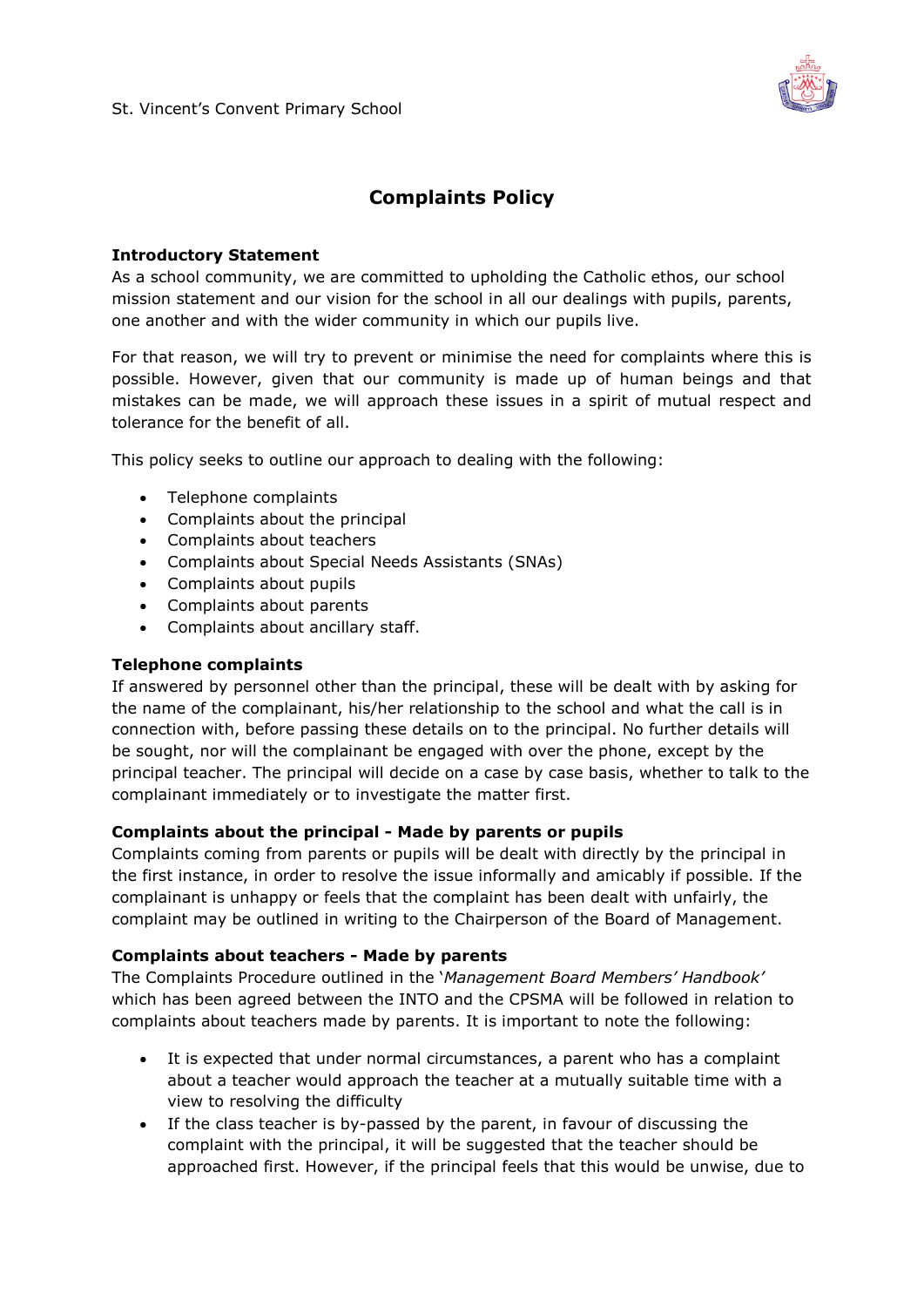

### **Complaints Policy**

#### **Introductory Statement**

As a school community, we are committed to upholding the Catholic ethos, our school mission statement and our vision for the school in all our dealings with pupils, parents, one another and with the wider community in which our pupils live.

For that reason, we will try to prevent or minimise the need for complaints where this is possible. However, given that our community is made up of human beings and that mistakes can be made, we will approach these issues in a spirit of mutual respect and tolerance for the benefit of all.

This policy seeks to outline our approach to dealing with the following:

- Telephone complaints
- Complaints about the principal
- Complaints about teachers
- Complaints about Special Needs Assistants (SNAs)
- Complaints about pupils
- Complaints about parents
- Complaints about ancillary staff.

#### **Telephone complaints**

If answered by personnel other than the principal, these will be dealt with by asking for the name of the complainant, his/her relationship to the school and what the call is in connection with, before passing these details on to the principal. No further details will be sought, nor will the complainant be engaged with over the phone, except by the principal teacher. The principal will decide on a case by case basis, whether to talk to the complainant immediately or to investigate the matter first.

#### **Complaints about the principal - Made by parents or pupils**

Complaints coming from parents or pupils will be dealt with directly by the principal in the first instance, in order to resolve the issue informally and amicably if possible. If the complainant is unhappy or feels that the complaint has been dealt with unfairly, the complaint may be outlined in writing to the Chairperson of the Board of Management.

#### **Complaints about teachers - Made by parents**

The Complaints Procedure outlined in the '*Management Board Members' Handbook'* which has been agreed between the INTO and the CPSMA will be followed in relation to complaints about teachers made by parents. It is important to note the following:

- It is expected that under normal circumstances, a parent who has a complaint about a teacher would approach the teacher at a mutually suitable time with a view to resolving the difficulty
- If the class teacher is by-passed by the parent, in favour of discussing the complaint with the principal, it will be suggested that the teacher should be approached first. However, if the principal feels that this would be unwise, due to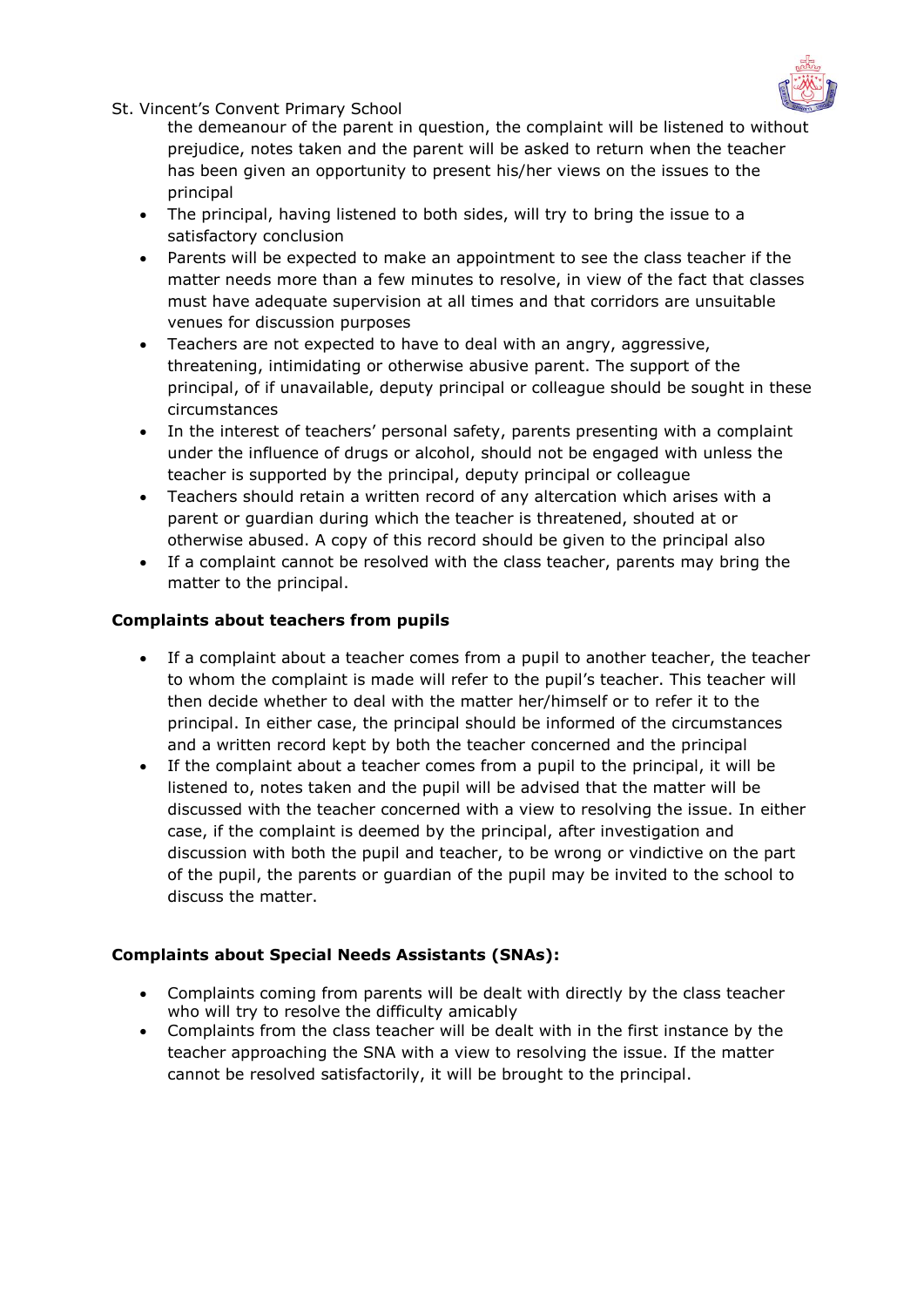

St. Vincent's Convent Primary School

the demeanour of the parent in question, the complaint will be listened to without prejudice, notes taken and the parent will be asked to return when the teacher has been given an opportunity to present his/her views on the issues to the principal

- The principal, having listened to both sides, will try to bring the issue to a satisfactory conclusion
- Parents will be expected to make an appointment to see the class teacher if the matter needs more than a few minutes to resolve, in view of the fact that classes must have adequate supervision at all times and that corridors are unsuitable venues for discussion purposes
- Teachers are not expected to have to deal with an angry, aggressive, threatening, intimidating or otherwise abusive parent. The support of the principal, of if unavailable, deputy principal or colleague should be sought in these circumstances
- In the interest of teachers' personal safety, parents presenting with a complaint under the influence of drugs or alcohol, should not be engaged with unless the teacher is supported by the principal, deputy principal or colleague
- Teachers should retain a written record of any altercation which arises with a parent or guardian during which the teacher is threatened, shouted at or otherwise abused. A copy of this record should be given to the principal also
- If a complaint cannot be resolved with the class teacher, parents may bring the matter to the principal.

#### **Complaints about teachers from pupils**

- If a complaint about a teacher comes from a pupil to another teacher, the teacher to whom the complaint is made will refer to the pupil's teacher. This teacher will then decide whether to deal with the matter her/himself or to refer it to the principal. In either case, the principal should be informed of the circumstances and a written record kept by both the teacher concerned and the principal
- If the complaint about a teacher comes from a pupil to the principal, it will be listened to, notes taken and the pupil will be advised that the matter will be discussed with the teacher concerned with a view to resolving the issue. In either case, if the complaint is deemed by the principal, after investigation and discussion with both the pupil and teacher, to be wrong or vindictive on the part of the pupil, the parents or guardian of the pupil may be invited to the school to discuss the matter.

#### **Complaints about Special Needs Assistants (SNAs):**

- Complaints coming from parents will be dealt with directly by the class teacher who will try to resolve the difficulty amicably
- Complaints from the class teacher will be dealt with in the first instance by the teacher approaching the SNA with a view to resolving the issue. If the matter cannot be resolved satisfactorily, it will be brought to the principal.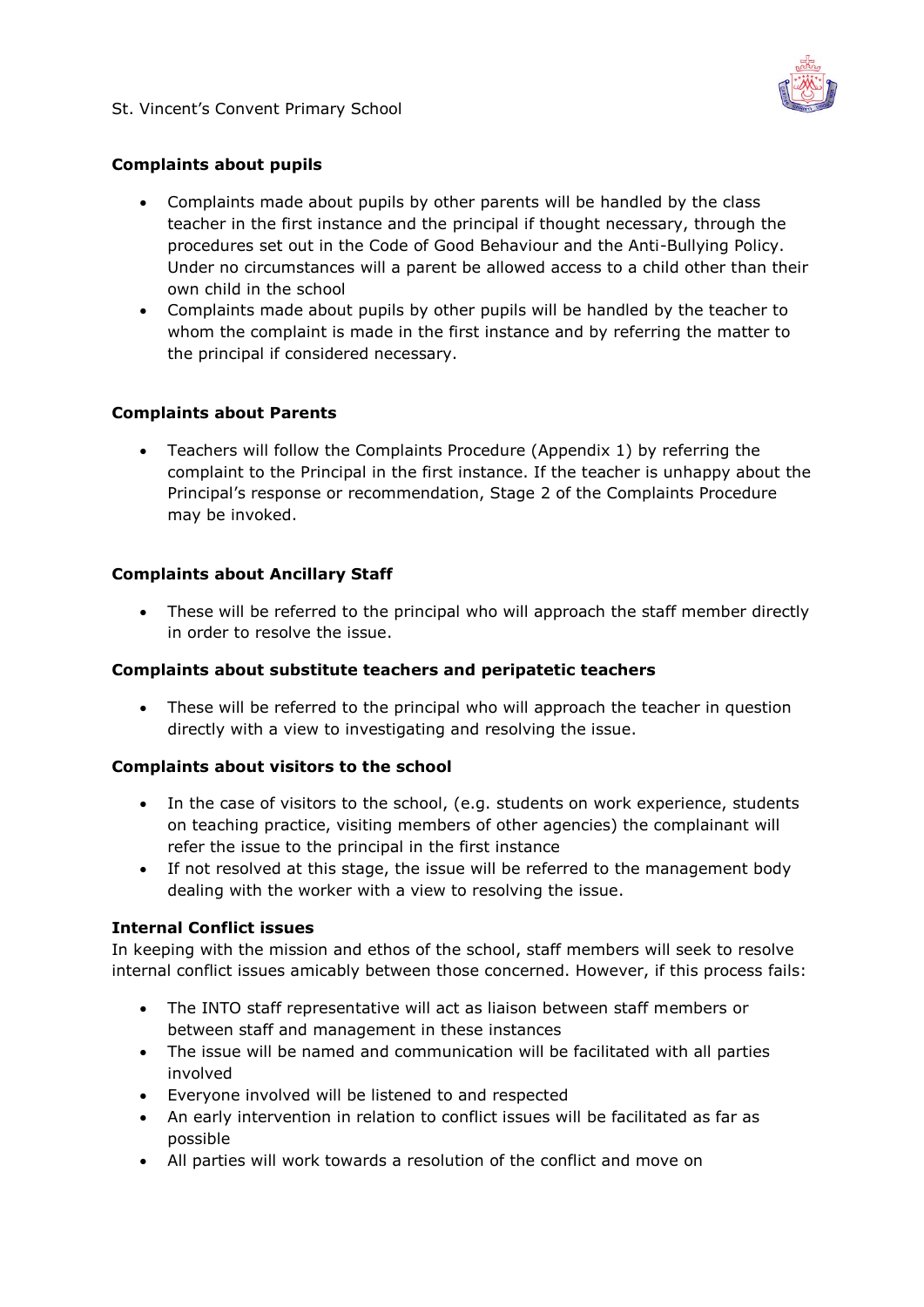

#### **Complaints about pupils**

- Complaints made about pupils by other parents will be handled by the class teacher in the first instance and the principal if thought necessary, through the procedures set out in the Code of Good Behaviour and the Anti-Bullying Policy. Under no circumstances will a parent be allowed access to a child other than their own child in the school
- Complaints made about pupils by other pupils will be handled by the teacher to whom the complaint is made in the first instance and by referring the matter to the principal if considered necessary.

#### **Complaints about Parents**

 Teachers will follow the Complaints Procedure (Appendix 1) by referring the complaint to the Principal in the first instance. If the teacher is unhappy about the Principal's response or recommendation, Stage 2 of the Complaints Procedure may be invoked.

#### **Complaints about Ancillary Staff**

 These will be referred to the principal who will approach the staff member directly in order to resolve the issue.

#### **Complaints about substitute teachers and peripatetic teachers**

 These will be referred to the principal who will approach the teacher in question directly with a view to investigating and resolving the issue.

#### **Complaints about visitors to the school**

- In the case of visitors to the school, (e.g. students on work experience, students on teaching practice, visiting members of other agencies) the complainant will refer the issue to the principal in the first instance
- If not resolved at this stage, the issue will be referred to the management body dealing with the worker with a view to resolving the issue.

#### **Internal Conflict issues**

In keeping with the mission and ethos of the school, staff members will seek to resolve internal conflict issues amicably between those concerned. However, if this process fails:

- The INTO staff representative will act as liaison between staff members or between staff and management in these instances
- The issue will be named and communication will be facilitated with all parties involved
- Everyone involved will be listened to and respected
- An early intervention in relation to conflict issues will be facilitated as far as possible
- All parties will work towards a resolution of the conflict and move on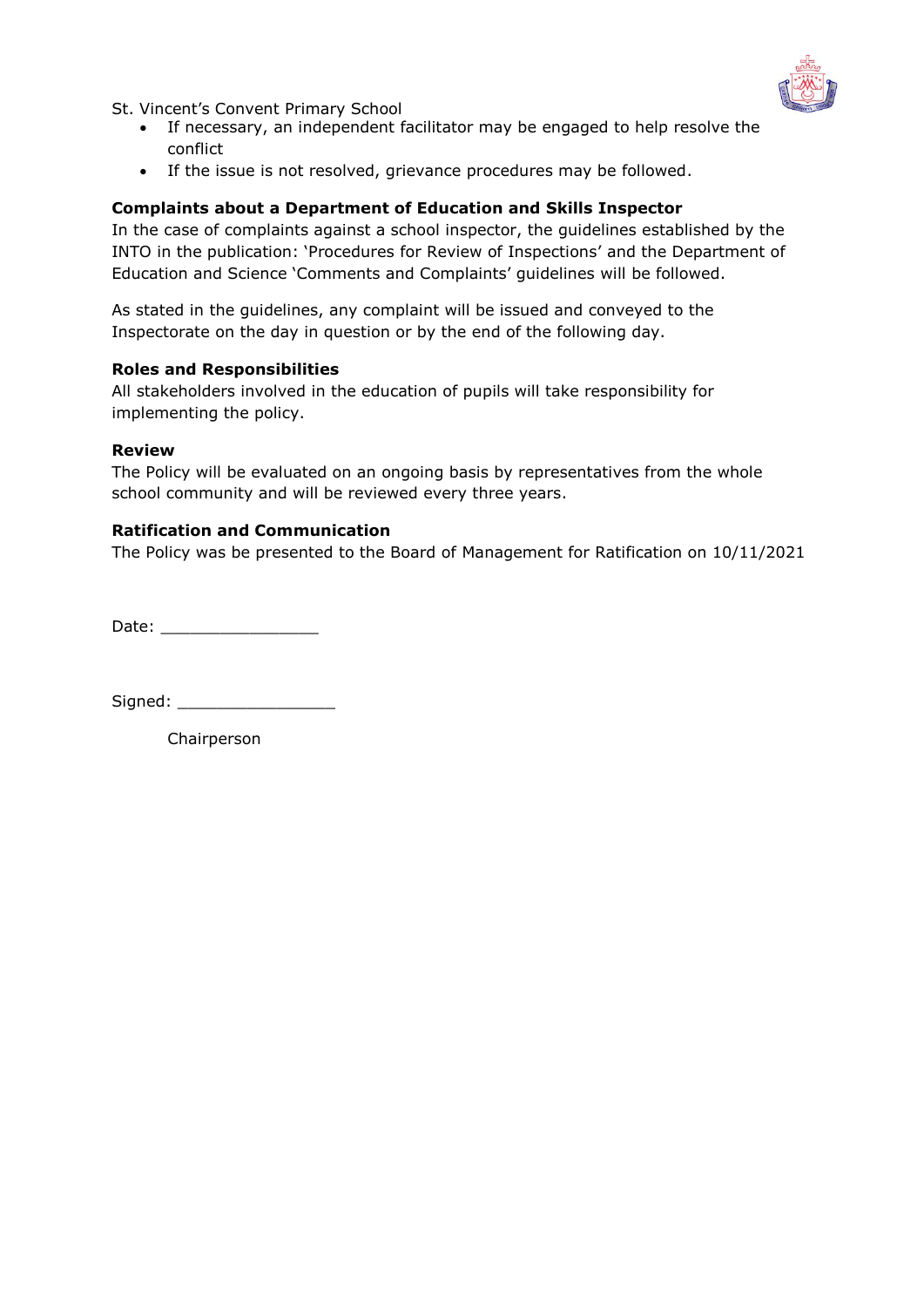

St. Vincent's Convent Primary School

- If necessary, an independent facilitator may be engaged to help resolve the conflict
- If the issue is not resolved, grievance procedures may be followed.

#### **Complaints about a Department of Education and Skills Inspector**

In the case of complaints against a school inspector, the guidelines established by the INTO in the publication: 'Procedures for Review of Inspections' and the Department of Education and Science 'Comments and Complaints' guidelines will be followed.

As stated in the guidelines, any complaint will be issued and conveyed to the Inspectorate on the day in question or by the end of the following day.

#### **Roles and Responsibilities**

All stakeholders involved in the education of pupils will take responsibility for implementing the policy.

#### **Review**

The Policy will be evaluated on an ongoing basis by representatives from the whole school community and will be reviewed every three years.

#### **Ratification and Communication**

The Policy was be presented to the Board of Management for Ratification on 10/11/2021

Date: \_\_\_\_\_\_\_\_\_\_\_\_\_\_\_\_

Signed: \_\_\_\_\_\_\_\_\_\_\_\_\_\_\_\_

Chairperson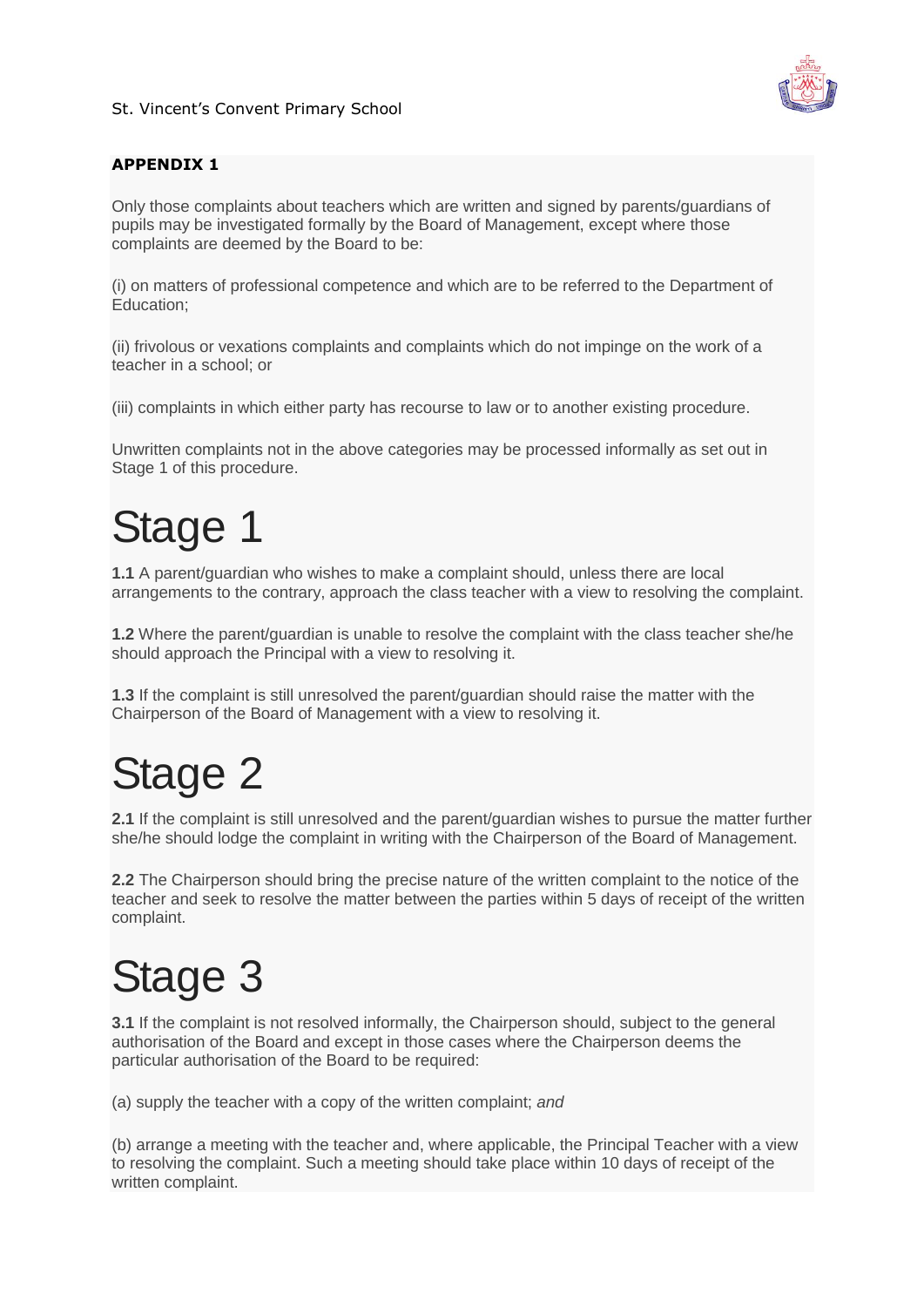

#### **APPENDIX 1**

Only those complaints about teachers which are written and signed by parents/guardians of pupils may be investigated formally by the Board of Management, except where those complaints are deemed by the Board to be:

(i) on matters of professional competence and which are to be referred to the Department of Education;

(ii) frivolous or vexations complaints and complaints which do not impinge on the work of a teacher in a school; or

(iii) complaints in which either party has recourse to law or to another existing procedure.

Unwritten complaints not in the above categories may be processed informally as set out in Stage 1 of this procedure.

## Stage 1

**1.1** A parent/guardian who wishes to make a complaint should, unless there are local arrangements to the contrary, approach the class teacher with a view to resolving the complaint.

**1.2** Where the parent/guardian is unable to resolve the complaint with the class teacher she/he should approach the Principal with a view to resolving it.

**1.3** If the complaint is still unresolved the parent/guardian should raise the matter with the Chairperson of the Board of Management with a view to resolving it.

## Stage 2

**2.1** If the complaint is still unresolved and the parent/guardian wishes to pursue the matter further she/he should lodge the complaint in writing with the Chairperson of the Board of Management.

**2.2** The Chairperson should bring the precise nature of the written complaint to the notice of the teacher and seek to resolve the matter between the parties within 5 days of receipt of the written complaint.

## Stage 3

**3.1** If the complaint is not resolved informally, the Chairperson should, subject to the general authorisation of the Board and except in those cases where the Chairperson deems the particular authorisation of the Board to be required:

(a) supply the teacher with a copy of the written complaint; *and*

(b) arrange a meeting with the teacher and, where applicable, the Principal Teacher with a view to resolving the complaint. Such a meeting should take place within 10 days of receipt of the written complaint.